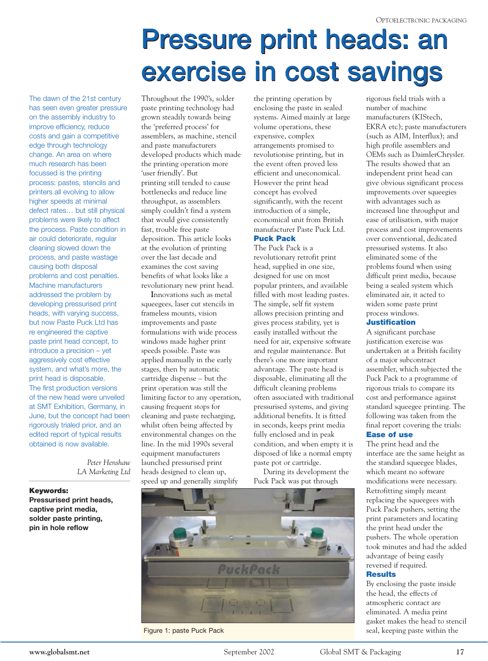# **Pressure print heads: an Pressure print heads: an exercise in cost savings**

The dawn of the 21st century has seen even greater pressure on the assembly industry to improve efficiency, reduce costs and gain a competitive edge through technology change. An area on where much research has been focussed is the printing process: pastes, stencils and printers all evolving to allow higher speeds at minimal defect rates… but still physical problems were likely to affect the process. Paste condition in air could deteriorate, regular cleaning slowed down the process, and paste wastage causing both disposal problems and cost penalties. Machine manufacturers addressed the problem by developing pressurised print heads, with varying success, but now Paste Puck Ltd has re engineered the captive paste print head concept, to introduce a precision – yet aggressively cost effective system, and what's more, the print head is disposable. The first production versions of the new head were unveiled at SMT Exhibition, Germany, in June, but the concept had been rigorously trialed prior, and an edited report of typical results obtained is now available.

> *Peter Henshaw LA Marketing Ltd*

#### **Keywords:**

**Pressurised print heads, captive print media, solder paste printing, pin in hole reflow**

Throughout the 1990's, solder paste printing technology had grown steadily towards being the 'preferred process' for assemblers, as machine, stencil and paste manufacturers developed products which made the printing operation more 'user friendly'. But printing still tended to cause bottlenecks and reduce line throughput, as assemblers simply couldn't find a system that would give consistently fast, trouble free paste deposition. This article looks at the evolution of printing over the last decade and examines the cost saving benefits of what looks like a revolutionary new print head.

**I**nnovations such as metal squeegees, laser cut stencils in frameless mounts, vision improvements and paste formulations with wide process windows made higher print speeds possible. Paste was applied manually in the early stages, then by automatic cartridge dispense – but the print operation was still the limiting factor to any operation, causing frequent stops for cleaning and paste recharging, whilst often being affected by environmental changes on the line. In the mid 1990s several equipment manufacturers launched pressurised print heads designed to clean up, speed up and generally simplify

the printing operation by enclosing the paste in sealed systems. Aimed mainly at large volume operations, these expensive, complex arrangements promised to revolutionise printing, but in the event often proved less efficient and uneconomical. However the print head concept has evolved significantly, with the recent introduction of a simple, economical unit from British manufacturer Paste Puck Ltd. **Puck Pack**

#### The Puck Pack is a revolutionary retrofit print head, supplied in one size, designed for use on most popular printers, and available filled with most leading pastes. The simple, self fit system allows precision printing and gives process stability, yet is easily installed without the need for air, expensive software and regular maintenance. But there's one more important advantage. The paste head is disposable, eliminating all the difficult cleaning problems often associated with traditional pressurised systems, and giving additional benefits. It is fitted in seconds, keeps print media fully enclosed and in peak condition, and when empty it is disposed of like a normal empty paste pot or cartridge.

During its development the Puck Pack was put through



Figure 1: paste Puck Pack

rigorous field trials with a number of machine manufacturers (KIStech, EKRA etc); paste manufacturers (such as AIM, Interflux); and high profile assemblers and OEMs such as DaimlerChrysler. The results showed that an independent print head can give obvious significant process improvements over squeegies with advantages such as increased line throughput and ease of utilisation, with major process and cost improvements over conventional, dedicated pressurised systems. It also eliminated some of the problems found when using difficult print media, because being a sealed system which eliminated air, it acted to widen some paste print process windows.

#### **Justification**

A significant purchase justification exercise was undertaken at a British facility of a major subcontract assembler, which subjected the Puck Pack to a programme of rigorous trials to compare its cost and performance against standard squeegee printing. The following was taken from the final report covering the trials:

#### **Ease of use**

The print head and the interface are the same height as the standard squeegee blades, which meant no software modifications were necessary. Retrofitting simply meant replacing the squeegees with Puck Pack pushers, setting the print parameters and locating the print head under the pushers. The whole operation took minutes and had the added advantage of being easily reversed if required.

#### **Results**

By enclosing the paste inside the head, the effects of atmospheric contact are eliminated. A media print gasket makes the head to stencil seal, keeping paste within the